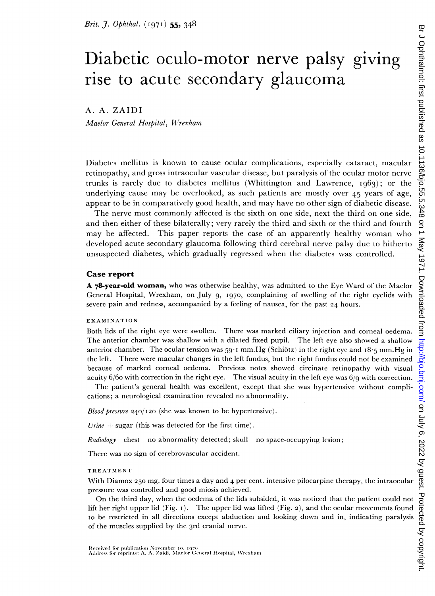# Diabetic oculo-motor nerve palsy giving rise to acute secondary glaucoma

A. A. ZAIDI

Maelor General Hospital, Wrexham

Diabetes mellitus is known to cause ocular complications, especially cataract, macular retinopathy, and gross intraocular vascular disease, but paralysis of the ocular motor nerve trunks is rarely due to diabetes mellitus (Whittington and Lawrence,  $1963$ ); or the underlying cause may be overlooked, as such patients are mostly over 45 years of age, appear to be in comparatively good health, and may have no other sign of diabetic disease.

The nerve most commonly affected is the sixth on one side, next the third on one side, and then either of these bilaterally; very rarely the third and sixth or the third and fourth may be affected. This paper reports the case of an apparently healthy woman who developed acute secondary glaucoma following third cerebral nerve palsy due to hitherto unsuspected diabetes, which gradually regressed when the diabetes was controlled.

### Case report

A 78-year-old woman, who was otherwise healthy, was admitted to the Eye Ward of the Maelor General Hospital, Wrexham, on July 9, I970, complaining of swelling of the right eyelids with severe pain and redness, accompanied by a feeling of nausea, for the past 24 hours.

#### EXAMINATION

Both lids of the right eye were swollen. There was marked ciliary injection and corneal oedema. The anterior chamber was shallow with a dilated fixed pupil. The left eye also showed a shallow anterior chamber. The ocular tension was 59 1 mm. Hg (Schiotz) in the right eye and 18.5 mm. Hg in the left. There were macular changes in the left fundus, but the right fundus could not be examined because of marked corneal oedema. Previous notes showed circinate retinopathy with visual acuity  $6/6$  with correction in the right eye. The visual acuity in the left eye was  $6/9$  with correction.

The patient's general health was excellent, except that she was hypertensive without complications; a neurological examination revealed no abnormality.

Blood pressure 240/I20 (she was known to be hypertensive).

Urine  $+$  sugar (this was detected for the first time).

*Radiology* chest - no abnormality detected; skull - no space-occupying lesion;

There was no sign of cerebrovascular accident.

#### TREATMENT

With Diamox 250 mg. four times a day and 4 per cent. intensive pilocarpine therapy, the intraocular pressure was controlled and good miosis achieved.

On the third day, when the oedema of the lids subsidcd, it was noticed that the patient could not lift her right upper lid (Fig. i). The upper lid was lifted (Fig. 2), and the ocular movements found to be restricted in all directions except abduction and looking down and in, indicating paralysis of the muscles supplied by the 3rd cranial nerve.